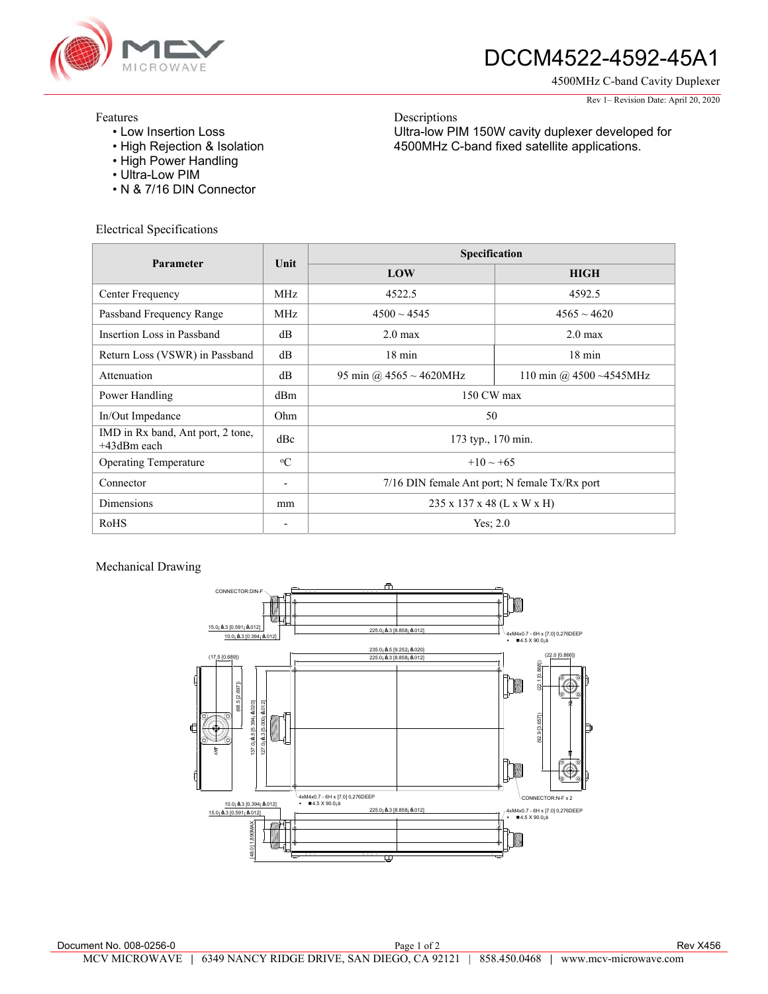

# DCCM4522-4592-45A1

Ultra-low PIM 150W cavity duplexer developed for 4500MHz C-band fixed satellite applications.

4500MHz C-band Cavity Duplexer

#### Rev 1– Revision Date: April 20, 2020

### Features

- Low Insertion Loss
- High Rejection & Isolation
- High Power Handling
- Ultra-Low PIM
- N & 7/16 DIN Connector

Electrical Specifications

| Parameter                                        | Unit                         | Specification                                 |                             |
|--------------------------------------------------|------------------------------|-----------------------------------------------|-----------------------------|
|                                                  |                              | LOW                                           | <b>HIGH</b>                 |
| Center Frequency                                 | MHz                          | 4522.5                                        | 4592.5                      |
| Passband Frequency Range                         | MHz                          | $4500 \sim 4545$                              | $4565 \sim 4620$            |
| Insertion Loss in Passband                       | dB                           | 2.0 <sub>max</sub>                            | $2.0 \text{ max}$           |
| Return Loss (VSWR) in Passband                   | dB                           | $18 \text{ min}$                              | $18 \text{ min}$            |
| Attenuation                                      | dB                           | 95 min @ $4565 \sim 4620$ MHz                 | 110 min @ $4500 - 4545$ MHz |
| Power Handling                                   | dBm                          | 150 CW max                                    |                             |
| In/Out Impedance                                 | Ohm                          | 50                                            |                             |
| IMD in Rx band, Ant port, 2 tone,<br>+43dBm each | dBc                          | 173 typ., 170 min.                            |                             |
| <b>Operating Temperature</b>                     | $\rm ^{o}C$                  | $+10 \sim +65$                                |                             |
| Connector                                        | $\qquad \qquad \blacksquare$ | 7/16 DIN female Ant port; N female Tx/Rx port |                             |
| Dimensions                                       | mm                           | 235 x 137 x 48 (L x W x H)                    |                             |
| RoHS                                             |                              | Yes; $2.0$                                    |                             |

Descriptions

### Mechanical Drawing